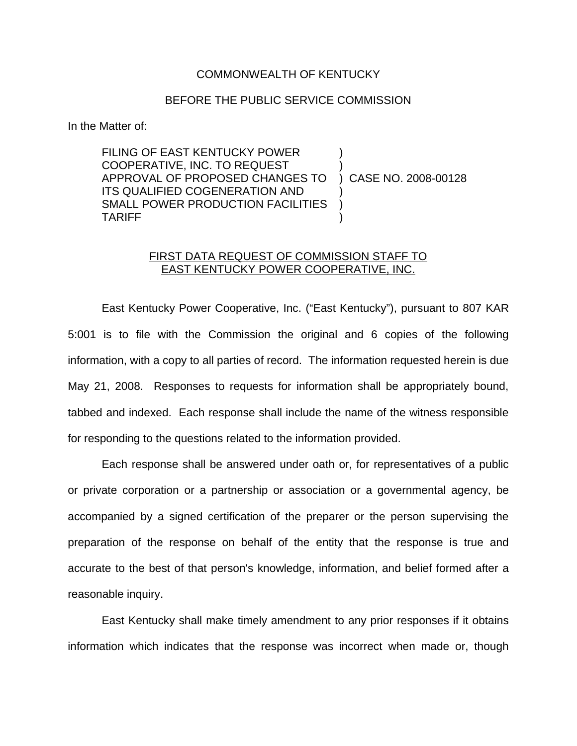## COMMONWEALTH OF KENTUCKY

## BEFORE THE PUBLIC SERVICE COMMISSION

In the Matter of:

FILING OF EAST KENTUCKY POWER ) COOPERATIVE, INC. TO REQUEST ) APPROVAL OF PROPOSED CHANGES TO ) CASE NO. 2008-00128 ITS QUALIFIED COGENERATION AND ) SMALL POWER PRODUCTION FACILITIES TARIFF )

## FIRST DATA REQUEST OF COMMISSION STAFF TO EAST KENTUCKY POWER COOPERATIVE, INC.

East Kentucky Power Cooperative, Inc. ("East Kentucky"), pursuant to 807 KAR 5:001 is to file with the Commission the original and 6 copies of the following information, with a copy to all parties of record. The information requested herein is due May 21, 2008. Responses to requests for information shall be appropriately bound, tabbed and indexed. Each response shall include the name of the witness responsible for responding to the questions related to the information provided.

Each response shall be answered under oath or, for representatives of a public or private corporation or a partnership or association or a governmental agency, be accompanied by a signed certification of the preparer or the person supervising the preparation of the response on behalf of the entity that the response is true and accurate to the best of that person's knowledge, information, and belief formed after a reasonable inquiry.

East Kentucky shall make timely amendment to any prior responses if it obtains information which indicates that the response was incorrect when made or, though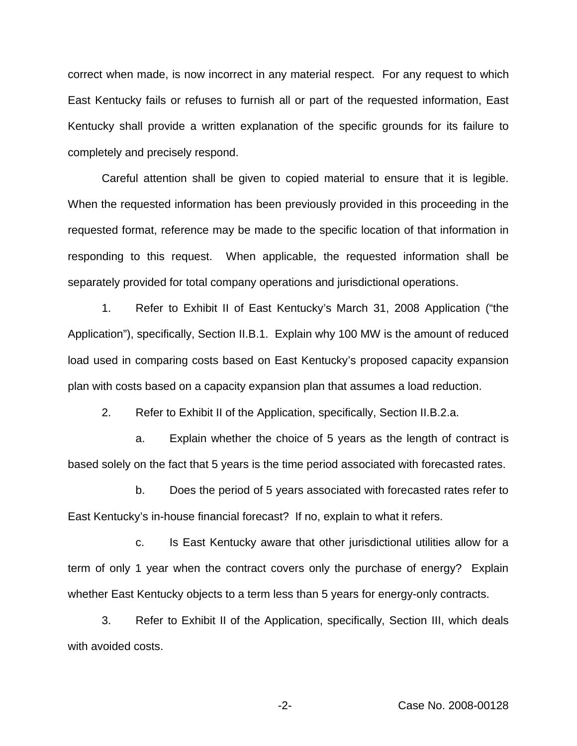correct when made, is now incorrect in any material respect. For any request to which East Kentucky fails or refuses to furnish all or part of the requested information, East Kentucky shall provide a written explanation of the specific grounds for its failure to completely and precisely respond.

Careful attention shall be given to copied material to ensure that it is legible. When the requested information has been previously provided in this proceeding in the requested format, reference may be made to the specific location of that information in responding to this request. When applicable, the requested information shall be separately provided for total company operations and jurisdictional operations.

1. Refer to Exhibit II of East Kentucky's March 31, 2008 Application ("the Application"), specifically, Section II.B.1. Explain why 100 MW is the amount of reduced load used in comparing costs based on East Kentucky's proposed capacity expansion plan with costs based on a capacity expansion plan that assumes a load reduction.

2. Refer to Exhibit II of the Application, specifically, Section II.B.2.a.

a. Explain whether the choice of 5 years as the length of contract is based solely on the fact that 5 years is the time period associated with forecasted rates.

b. Does the period of 5 years associated with forecasted rates refer to East Kentucky's in-house financial forecast? If no, explain to what it refers.

c. Is East Kentucky aware that other jurisdictional utilities allow for a term of only 1 year when the contract covers only the purchase of energy? Explain whether East Kentucky objects to a term less than 5 years for energy-only contracts.

3. Refer to Exhibit II of the Application, specifically, Section III, which deals with avoided costs.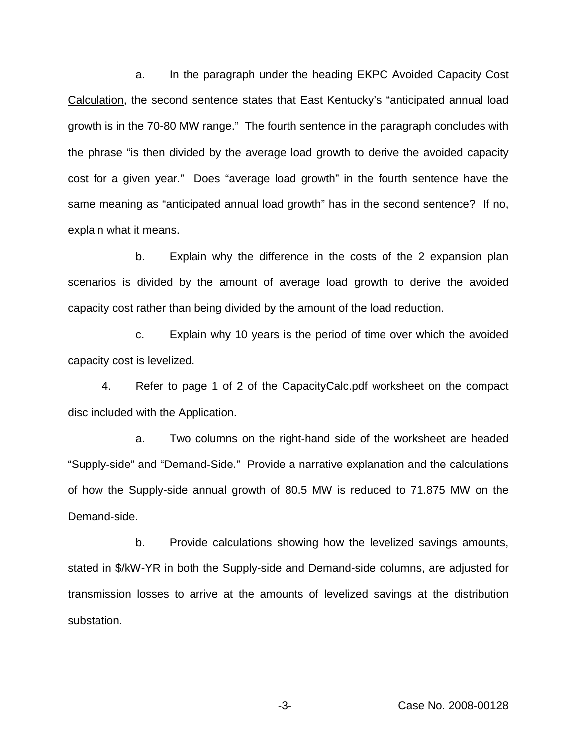a. In the paragraph under the heading **EKPC** Avoided Capacity Cost Calculation, the second sentence states that East Kentucky's "anticipated annual load growth is in the 70-80 MW range." The fourth sentence in the paragraph concludes with the phrase "is then divided by the average load growth to derive the avoided capacity cost for a given year." Does "average load growth" in the fourth sentence have the same meaning as "anticipated annual load growth" has in the second sentence? If no, explain what it means.

b. Explain why the difference in the costs of the 2 expansion plan scenarios is divided by the amount of average load growth to derive the avoided capacity cost rather than being divided by the amount of the load reduction.

c. Explain why 10 years is the period of time over which the avoided capacity cost is levelized.

4. Refer to page 1 of 2 of the CapacityCalc.pdf worksheet on the compact disc included with the Application.

a. Two columns on the right-hand side of the worksheet are headed "Supply-side" and "Demand-Side." Provide a narrative explanation and the calculations of how the Supply-side annual growth of 80.5 MW is reduced to 71.875 MW on the Demand-side.

b. Provide calculations showing how the levelized savings amounts, stated in \$/kW-YR in both the Supply-side and Demand-side columns, are adjusted for transmission losses to arrive at the amounts of levelized savings at the distribution substation.

-3- Case No. 2008-00128